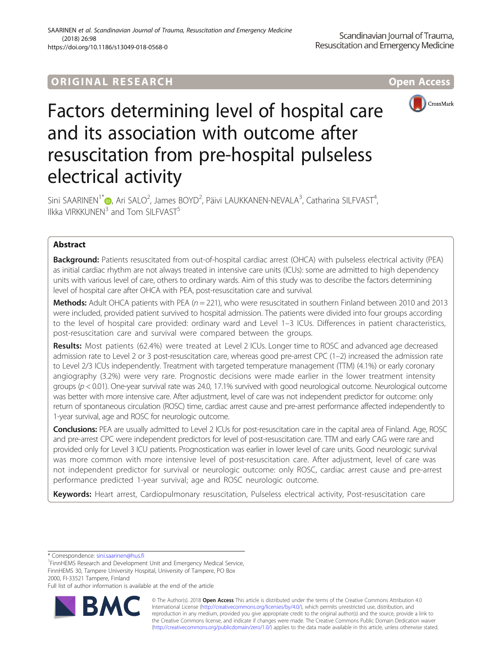# **ORIGINAL RESEARCH CONSERVERS AND LOCAL CONSERVERS**



# Factors determining level of hospital care and its association with outcome after resuscitation from pre-hospital pulseless electrical activity

Sini SAARINEN<sup>1\*</sup>®[,](http://orcid.org/0000-0001-8443-3097) Ari SALO<sup>2</sup>, James BOYD<sup>2</sup>, Päivi LAUKKANEN-NEVALA<sup>3</sup>, Catharina SILFVAST<sup>4</sup> , Ilkka VIRKKUNEN<sup>3</sup> and Tom SILFVAST<sup>5</sup>

# Abstract

**Background:** Patients resuscitated from out-of-hospital cardiac arrest (OHCA) with pulseless electrical activity (PEA) as initial cardiac rhythm are not always treated in intensive care units (ICUs): some are admitted to high dependency units with various level of care, others to ordinary wards. Aim of this study was to describe the factors determining level of hospital care after OHCA with PEA, post-resuscitation care and survival.

**Methods:** Adult OHCA patients with PEA ( $n = 221$ ), who were resuscitated in southern Finland between 2010 and 2013 were included, provided patient survived to hospital admission. The patients were divided into four groups according to the level of hospital care provided: ordinary ward and Level 1–3 ICUs. Differences in patient characteristics, post-resuscitation care and survival were compared between the groups.

Results: Most patients (62.4%) were treated at Level 2 ICUs. Longer time to ROSC and advanced age decreased admission rate to Level 2 or 3 post-resuscitation care, whereas good pre-arrest CPC (1–2) increased the admission rate to Level 2/3 ICUs independently. Treatment with targeted temperature management (TTM) (4.1%) or early coronary angiography (3.2%) were very rare. Prognostic decisions were made earlier in the lower treatment intensity groups ( $p < 0.01$ ). One-year survival rate was 24.0, 17.1% survived with good neurological outcome. Neurological outcome was better with more intensive care. After adjustment, level of care was not independent predictor for outcome: only return of spontaneous circulation (ROSC) time, cardiac arrest cause and pre-arrest performance affected independently to 1-year survival, age and ROSC for neurologic outcome.

Conclusions: PEA are usually admitted to Level 2 ICUs for post-resuscitation care in the capital area of Finland. Age, ROSC and pre-arrest CPC were independent predictors for level of post-resuscitation care. TTM and early CAG were rare and provided only for Level 3 ICU patients. Prognostication was earlier in lower level of care units. Good neurologic survival was more common with more intensive level of post-resuscitation care. After adjustment, level of care was not independent predictor for survival or neurologic outcome: only ROSC, cardiac arrest cause and pre-arrest performance predicted 1-year survival; age and ROSC neurologic outcome.

Keywords: Heart arrest, Cardiopulmonary resuscitation, Pulseless electrical activity, Post-resuscitation care

\* Correspondence: [sini.saarinen@hus.fi](mailto:sini.saarinen@hus.fi) <sup>1</sup>

<sup>1</sup>FinnHEMS Research and Development Unit and Emergency Medical Service, FinnHEMS 30, Tampere University Hospital, University of Tampere, PO Box 2000, FI-33521 Tampere, Finland

Full list of author information is available at the end of the article



© The Author(s). 2018 Open Access This article is distributed under the terms of the Creative Commons Attribution 4.0 International License [\(http://creativecommons.org/licenses/by/4.0/](http://creativecommons.org/licenses/by/4.0/)), which permits unrestricted use, distribution, and reproduction in any medium, provided you give appropriate credit to the original author(s) and the source, provide a link to the Creative Commons license, and indicate if changes were made. The Creative Commons Public Domain Dedication waiver [\(http://creativecommons.org/publicdomain/zero/1.0/](http://creativecommons.org/publicdomain/zero/1.0/)) applies to the data made available in this article, unless otherwise stated.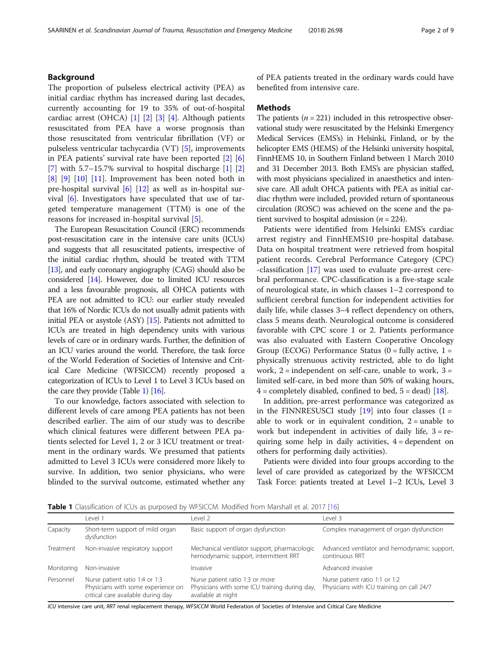# <span id="page-1-0"></span>Background

The proportion of pulseless electrical activity (PEA) as initial cardiac rhythm has increased during last decades, currently accounting for 19 to 35% of out-of-hospital cardiac arrest (OHCA) [\[1\]](#page-7-0) [[2\]](#page-7-0) [[3\]](#page-7-0) [[4](#page-7-0)]. Although patients resuscitated from PEA have a worse prognosis than those resuscitated from ventricular fibrillation (VF) or pulseless ventricular tachycardia (VT) [[5](#page-7-0)], improvements in PEA patients' survival rate have been reported [[2\]](#page-7-0) [\[6](#page-7-0)] [[7\]](#page-7-0) with  $5.7-15.7%$  survival to hospital discharge [\[1](#page-7-0)] [\[2](#page-7-0)]  $[8]$  $[8]$   $[9]$  $[9]$   $[10]$  $[10]$   $[11]$  $[11]$ . Improvement has been noted both in pre-hospital survival [[6\]](#page-7-0) [\[12\]](#page-7-0) as well as in-hospital survival  $[6]$  $[6]$ . Investigators have speculated that use of targeted temperature management (TTM) is one of the reasons for increased in-hospital survival [[5](#page-7-0)].

The European Resuscitation Council (ERC) recommends post-resuscitation care in the intensive care units (ICUs) and suggests that all resuscitated patients, irrespective of the initial cardiac rhythm, should be treated with TTM [[13](#page-7-0)], and early coronary angiography (CAG) should also be considered [\[14](#page-7-0)]. However, due to limited ICU resources and a less favourable prognosis, all OHCA patients with PEA are not admitted to ICU: our earlier study revealed that 16% of Nordic ICUs do not usually admit patients with initial PEA or asystole (ASY) [\[15](#page-7-0)]. Patients not admitted to ICUs are treated in high dependency units with various levels of care or in ordinary wards. Further, the definition of an ICU varies around the world. Therefore, the task force of the World Federation of Societies of Intensive and Critical Care Medicine (WFSICCM) recently proposed a categorization of ICUs to Level 1 to Level 3 ICUs based on the care they provide (Table 1) [\[16](#page-7-0)].

To our knowledge, factors associated with selection to different levels of care among PEA patients has not been described earlier. The aim of our study was to describe which clinical features were different between PEA patients selected for Level 1, 2 or 3 ICU treatment or treatment in the ordinary wards. We presumed that patients admitted to Level 3 ICUs were considered more likely to survive. In addition, two senior physicians, who were blinded to the survival outcome, estimated whether any of PEA patients treated in the ordinary wards could have benefited from intensive care.

# Methods

The patients  $(n = 221)$  included in this retrospective observational study were resuscitated by the Helsinki Emergency Medical Services (EMS's) in Helsinki, Finland, or by the helicopter EMS (HEMS) of the Helsinki university hospital, FinnHEMS 10, in Southern Finland between 1 March 2010 and 31 December 2013. Both EMS's are physician staffed, with most physicians specialized in anaesthetics and intensive care. All adult OHCA patients with PEA as initial cardiac rhythm were included, provided return of spontaneous circulation (ROSC) was achieved on the scene and the patient survived to hospital admission ( $n = 224$ ).

Patients were identified from Helsinki EMS's cardiac arrest registry and FinnHEMS10 pre-hospital database. Data on hospital treatment were retrieved from hospital patient records. Cerebral Performance Category (CPC) -classification [\[17](#page-7-0)] was used to evaluate pre-arrest cerebral performance. CPC-classification is a five-stage scale of neurological state, in which classes 1–2 correspond to sufficient cerebral function for independent activities for daily life, while classes 3–4 reflect dependency on others, class 5 means death. Neurological outcome is considered favorable with CPC score 1 or 2. Patients performance was also evaluated with Eastern Cooperative Oncology Group (ECOG) Performance Status ( $0 =$  fully active,  $1 =$ physically strenuous activity restricted, able to do light work,  $2 =$  independent on self-care, unable to work,  $3 =$ limited self-care, in bed more than 50% of waking hours,  $4 =$  completely disabled, confined to bed,  $5 =$  dead) [\[18](#page-7-0)].

In addition, pre-arrest performance was categorized as in the FINNRESUSCI study  $[19]$  into four classes  $(1 =$ able to work or in equivalent condition,  $2 =$  unable to work but independent in activities of daily life,  $3 = re$ quiring some help in daily activities,  $4 =$  dependent on others for performing daily activities).

Patients were divided into four groups according to the level of care provided as categorized by the WFSICCM Task Force: patients treated at Level 1–2 ICUs, Level 3

**Table 1** Classification of ICUs as purposed by WFSICCM. Modified from Marshall et al. 2017 [[16](#page-7-0)]

|            | l evel 1                                                                                                   | evel 2                                                                                                 | Level 3                                                                     |
|------------|------------------------------------------------------------------------------------------------------------|--------------------------------------------------------------------------------------------------------|-----------------------------------------------------------------------------|
| Capacity   | Short-term support of mild organ<br>dysfunction                                                            | Basic support of organ dysfunction                                                                     | Complex management of organ dysfunction                                     |
| Treatment  | Non-invasive respiratory support                                                                           | Mechanical ventilator support, pharmacologic<br>hemodynamic support, intermittent RRT                  | Advanced ventilator and hemodynamic support,<br>continuous RRT              |
| Monitoring | Non-invasive                                                                                               | Invasive                                                                                               | Advanced invasive                                                           |
| Personnel  | Nurse patient ratio 1:4 or 1:3<br>Physicians with some experience on<br>critical care available during day | Nurse patient ratio 1:3 or more<br>Physicians with some ICU training during day,<br>available at night | Nurse patient ratio 1:1 or 1:2<br>Physicians with ICU training on call 24/7 |

ICU intensive care unit, RRT renal replacement therapy, WFSICCM World Federation of Societies of Intensive and Critical Care Medicine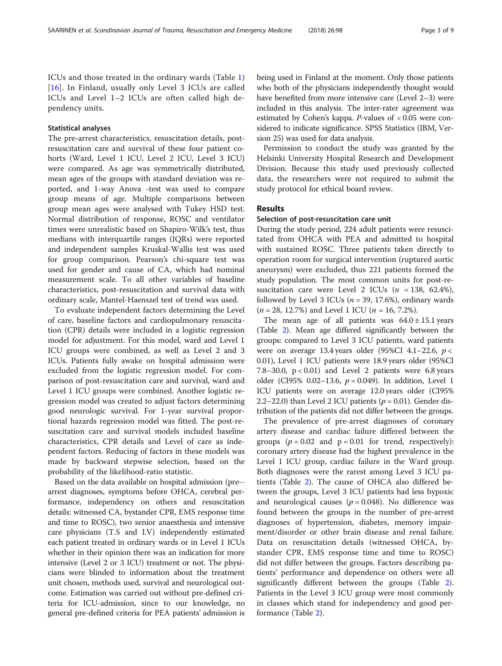ICUs and those treated in the ordinary wards (Table [1](#page-1-0)) [[16](#page-7-0)]. In Finland, usually only Level 3 ICUs are called ICUs and Level 1–2 ICUs are often called high dependency units.

# Statistical analyses

The pre-arrest characteristics, resuscitation details, postresuscitation care and survival of these four patient cohorts (Ward, Level 1 ICU, Level 2 ICU, Level 3 ICU) were compared. As age was symmetrically distributed, mean ages of the groups with standard deviation was reported, and 1-way Anova -test was used to compare group means of age. Multiple comparisons between group mean ages were analysed with Tukey HSD test. Normal distribution of response, ROSC and ventilator times were unrealistic based on Shapiro-Wilk's test, thus medians with interquartile ranges (IQRs) were reported and independent samples Kruskal-Wallis test was used for group comparison. Pearson's chi-square test was used for gender and cause of CA, which had nominal measurement scale. To all other variables of baseline characteristics, post-resuscitation and survival data with ordinary scale, Mantel-Haenszel test of trend was used.

To evaluate independent factors determining the Level of care, baseline factors and cardiopulmonary resuscitation (CPR) details were included in a logistic regression model for adjustment. For this model, ward and Level 1 ICU groups were combined, as well as Level 2 and 3 ICUs. Patients fully awake on hospital admission were excluded from the logistic regression model. For comparison of post-resuscitation care and survival, ward and Level 1 ICU groups were combined. Another logistic regression model was created to adjust factors determining good neurologic survival. For 1-year survival proportional hazards regression model was fitted. The post-resuscitation care and survival models included baseline characteristics, CPR details and Level of care as independent factors. Reducing of factors in these models was made by backward stepwise selection, based on the probability of the likelihood-ratio statistic.

Based on the data available on hospital admission (pre- arrest diagnoses, symptoms before OHCA, cerebral performance, independency on others and resuscitation details: witnessed CA, bystander CPR, EMS response time and time to ROSC), two senior anaesthesia and intensive care physicians (T.S and I.V) independently estimated each patient treated in ordinary wards or in Level 1 ICUs whether in their opinion there was an indication for more intensive (Level 2 or 3 ICU) treatment or not. The physicians were blinded to information about the treatment unit chosen, methods used, survival and neurological outcome. Estimation was carried out without pre-defined criteria for ICU-admission, since to our knowledge, no general pre-defined criteria for PEA patients' admission is being used in Finland at the moment. Only those patients who both of the physicians independently thought would have benefited from more intensive care (Level 2–3) were included in this analysis. The inter-rater agreement was estimated by Cohen's kappa. P-values of < 0.05 were considered to indicate significance. SPSS Statistics (IBM, Version 25) was used for data analysis.

Permission to conduct the study was granted by the Helsinki University Hospital Research and Development Division. Because this study used previously collected data, the researchers were not required to submit the study protocol for ethical board review.

# Results

## Selection of post-resuscitation care unit

During the study period, 224 adult patients were resuscitated from OHCA with PEA and admitted to hospital with sustained ROSC. Three patients taken directly to operation room for surgical intervention (ruptured aortic aneurysm) were excluded, thus 221 patients formed the study population. The most common units for post-resuscitation care were Level 2 ICUs ( $n = 138, 62.4\%$ ), followed by Level 3 ICUs ( $n = 39, 17.6\%$ ), ordinary wards  $(n = 28, 12.7\%)$  and Level 1 ICU  $(n = 16, 7.2\%)$ .

The mean age of all patients was  $64.0 \pm 15.1$  years (Table [2\)](#page-3-0). Mean age differed significantly between the groups: compared to Level 3 ICU patients, ward patients were on average 13.4 years older (95%CI 4.1–22.6,  $p \lt \theta$ 0.01), Level 1 ICU patients were 18.9 years older (95%CI 7.8–30.0,  $p < 0.01$ ) and Level 2 patients were 6.8 years older (CI95% 0.02-13.6,  $p = 0.049$ ). In addition, Level 1 ICU patients were on average 12.0 years older (CI95% 2.2–22.0) than Level 2 ICU patients ( $p = 0.01$ ). Gender distribution of the patients did not differ between the groups.

The prevalence of pre-arrest diagnoses of coronary artery disease and cardiac failure differed between the groups ( $p = 0.02$  and  $p = 0.01$  for trend, respectively): coronary artery disease had the highest prevalence in the Level 1 ICU group, cardiac failure in the Ward group. Both diagnoses were the rarest among Level 3 ICU patients (Table [2](#page-3-0)). The cause of OHCA also differed between the groups, Level 3 ICU patients had less hypoxic and neurological causes ( $p = 0.048$ ). No difference was found between the groups in the number of pre-arrest diagnoses of hypertension, diabetes, memory impairment/disorder or other brain disease and renal failure. Data on resuscitation details (witnessed OHCA, bystander CPR, EMS response time and time to ROSC) did not differ between the groups. Factors describing patients' performance and dependence on others were all significantly different between the groups (Table [2](#page-3-0)). Patients in the Level 3 ICU group were most commonly in classes which stand for independency and good performance (Table [2](#page-3-0)).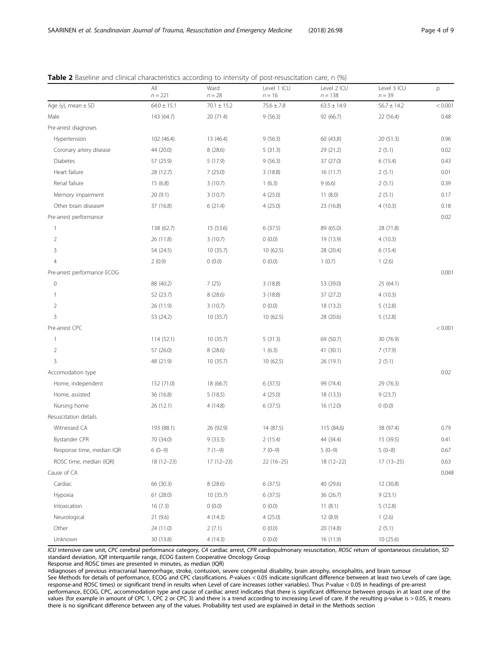|                             | All<br>$n = 221$ | Ward<br>$n = 28$ | Level 1 ICU<br>$n = 16$ | Level 2 ICU<br>$n = 138$ | Level 3 ICU<br>$n = 39$ | p       |
|-----------------------------|------------------|------------------|-------------------------|--------------------------|-------------------------|---------|
| Age (y), mean $\pm$ SD      | $64.0 \pm 15.1$  | $70.1 \pm 15.2$  | $75.6 \pm 7.8$          | $63.5 \pm 14.9$          | $56.7 \pm 14.2$         | < 0.001 |
| Male                        | 143 (64.7)       | 20 (71.4)        | 9(56.3)                 | 92 (66.7)                | 22 (56.4)               | 0.48    |
| Pre-arrest diagnoses        |                  |                  |                         |                          |                         |         |
| Hypertension                | 102 (46.4)       | 13 (46.4)        | 9(56.3)                 | 60 (43.8)                | 20 (51.3)               | 0.96    |
| Coronary artery disease     | 44 (20.0)        | 8(28.6)          | 5(31.3)                 | 29 (21.2)                | 2(5.1)                  | 0.02    |
| Diabetes                    | 57 (25.9)        | 5(17.9)          | 9(56.3)                 | 37 (27.0)                | 6(15.4)                 | 0.43    |
| Heart failure               | 28 (12.7)        | 7(25.0)          | 3(18.8)                 | 16 (11.7)                | 2(5.1)                  | 0.01    |
| Renal failure               | 15 (6.8)         | 3(10.7)          | 1(6.3)                  | 9(6.6)                   | 2(5.1)                  | 0.39    |
| Memory impairment           | 20(9.1)          | 3(10.7)          | 4(25.0)                 | 11(8.0)                  | 2(5.1)                  | 0.17    |
| Other brain disease¤        | 37 (16.8)        | 6(21.4)          | 4(25.0)                 | 23 (16.8)                | 4(10.3)                 | 0.18    |
| Pre-arrest performance      |                  |                  |                         |                          |                         | 0.02    |
| $\mathbf{1}$                | 138 (62.7)       | 15 (53.6)        | 6(37.5)                 | 89 (65.0)                | 28 (71.8)               |         |
| $\overline{2}$              | 26 (11.8)        | 3(10.7)          | 0(0.0)                  | 19 (13.9)                | 4(10.3)                 |         |
| 3                           | 54 (24.5)        | 10(35.7)         | 10(62.5)                | 28 (20.4)                | 6(15.4)                 |         |
| $\overline{4}$              | 2(0.9)           | 0(0.0)           | 0(0.0)                  | 1(0.7)                   | 1(2.6)                  |         |
| Pre-arrest performance ECOG |                  |                  |                         |                          |                         | 0.001   |
| $\mathbb O$                 | 88 (40.2)        | 7(25)            | 3(18.8)                 | 53 (39.0)                | 25 (64.1)               |         |
| $\mathbf{1}$                | 52 (23.7)        | 8(28.6)          | 3(18.8)                 | 37 (27.2)                | 4(10.3)                 |         |
| $\overline{2}$              | 26 (11.9)        | 3(10.7)          | 0(0.0)                  | 18 (13.2)                | 5(12.8)                 |         |
| $\mathbf{3}$                | 53 (24.2)        | 10(35.7)         | 10(62.5)                | 28 (20.6)                | 5(12.8)                 |         |
| Pre-arrest CPC              |                  |                  |                         |                          |                         | < 0.001 |
| $\mathbf{1}$                | 114 (52.1)       | 10 (35.7)        | 5(31.3)                 | 69 (50.7)                | 30 (76.9)               |         |
| $\overline{2}$              | 57 (26.0)        | 8(28.6)          | 1(6.3)                  | 41 (30.1)                | 7(17.9)                 |         |
| $\mathbf{3}$                | 48 (21.9)        | 10(35.7)         | 10(62.5)                | 26 (19.1)                | 2(5.1)                  |         |
| Accomodation type           |                  |                  |                         |                          |                         | 0.02    |
| Home, independent           | 152 (71.0)       | 18 (66.7)        | 6(37.5)                 | 99 (74.4)                | 29 (76.3)               |         |
| Home, assisted              | 36 (16.8)        | 5(18.5)          | 4(25.0)                 | 18 (13.5)                | 9(23.7)                 |         |
| Nursing home                | 26 (12.1)        | 4(14.8)          | 6(37.5)                 | 16 (12.0)                | 0(0.0)                  |         |
| Resuscitation details       |                  |                  |                         |                          |                         |         |
| Witnessed CA                | 193 (88.1)       | 26 (92.9)        | 14 (87.5)               | 115 (84.6)               | 38 (97.4)               | 0.79    |
| Bystander CPR               | 70 (34.0)        | 9(33.3)          | 2(15.4)                 | 44 (34.4)                | 15 (39.5)               | 0.41    |
| Response time, median IQR   | $6(0-9)$         | $7(1-9)$         | $7(0-9)$                | $5(0-9)$                 | $5(0-8)$                | 0.67    |
| ROSC time, median (IQR)     | $18(12-23)$      | $17(12-23)$      | $22(16-25)$             | $18(12 - 22)$            | $17(13-25)$             | 0.63    |
| Cause of CA                 |                  |                  |                         |                          |                         | 0.048   |
| Cardiac                     | 66 (30.3)        | 8(28.6)          | 6(37.5)                 | 40 (29.6)                | 12 (30.8)               |         |
| Hypoxia                     | 61 (28.0)        | 10(35.7)         | 6(37.5)                 | 36 (26.7)                | 9(23.1)                 |         |
| Intoxication                | 16(7.3)          | 0(0.0)           | 0(0.0)                  | 11(8.1)                  | 5(12.8)                 |         |
| Neurological                | 21 (9.6)         | 4(14.3)          | 4(25.0)                 | 12 (8.9)                 | 1(2.6)                  |         |
| Other                       | 24 (11.0)        | 2(7.1)           | 0(0.0)                  | 20 (14.8)                | 2(5.1)                  |         |
| Unknown                     | 30 (13.8)        | 4(14.3)          | 0(0.0)                  | 16 (11.9)                | 10(25.6)                |         |

<span id="page-3-0"></span>Table 2 Baseline and clinical characteristics according to intensity of post-resuscitation care, n (%)

ICU intensive care unit, CPC cerebral performance category, CA cardiac arrest, CPR cardiopulmonary resuscitation, ROSC return of spontaneous circulation, SD standard deviation, IQR interquartile range, ECOG Eastern Cooperative Oncology Group

Response and ROSC times are presented in minutes, as median (IQR)

¤diagnoses of previous intracranial haemorrhage, stroke, contusion, severe congenital disability, brain atrophy, encephalitis, and brain tumour See Methods for details of performance, ECOG and CPC classifications. P-values < 0.05 indicate significant difference between at least two Levels of care (age, response-and ROSC times) or significant trend in results when Level of care increases (other variables). Thus P-value < 0.05 in headings of pre-arrest performance, ECOG, CPC, accommodation type and cause of cardiac arrest indicates that there is significant difference between groups in at least one of the values (for example in amount of CPC 1, CPC 2 or CPC 3) and there is a trend according to increasing Level of care. If the resulting p-value is > 0.05, it means there is no significant difference between any of the values. Probability test used are explained in detail in the Methods section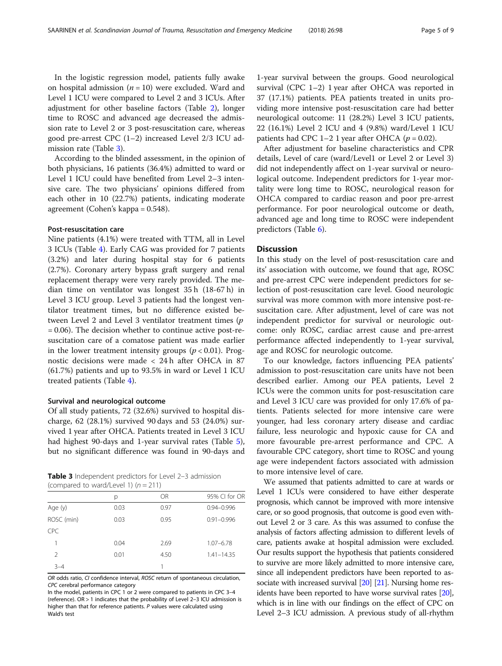In the logistic regression model, patients fully awake on hospital admission ( $n = 10$ ) were excluded. Ward and Level 1 ICU were compared to Level 2 and 3 ICUs. After adjustment for other baseline factors (Table [2\)](#page-3-0), longer time to ROSC and advanced age decreased the admission rate to Level 2 or 3 post-resuscitation care, whereas good pre-arrest CPC (1–2) increased Level 2/3 ICU admission rate (Table 3).

According to the blinded assessment, in the opinion of both physicians, 16 patients (36.4%) admitted to ward or Level 1 ICU could have benefited from Level 2–3 intensive care. The two physicians' opinions differed from each other in 10 (22.7%) patients, indicating moderate agreement (Cohen's kappa = 0.548).

# Post-resuscitation care

Nine patients (4.1%) were treated with TTM, all in Level 3 ICUs (Table [4](#page-5-0)). Early CAG was provided for 7 patients (3.2%) and later during hospital stay for 6 patients (2.7%). Coronary artery bypass graft surgery and renal replacement therapy were very rarely provided. The median time on ventilator was longest 35 h (18-67 h) in Level 3 ICU group. Level 3 patients had the longest ventilator treatment times, but no difference existed between Level 2 and Level 3 ventilator treatment times (p = 0.06). The decision whether to continue active post-resuscitation care of a comatose patient was made earlier in the lower treatment intensity groups ( $p < 0.01$ ). Prognostic decisions were made < 24 h after OHCA in 87 (61.7%) patients and up to 93.5% in ward or Level 1 ICU treated patients (Table [4](#page-5-0)).

#### Survival and neurological outcome

Of all study patients, 72 (32.6%) survived to hospital discharge, 62 (28.1%) survived 90 days and 53 (24.0%) survived 1 year after OHCA. Patients treated in Level 3 ICU had highest 90-days and 1-year survival rates (Table [5](#page-5-0)), but no significant difference was found in 90-days and

Table 3 Independent predictors for Level 2-3 admission (compared to ward/Level 1)  $(n = 211)$ 

|            | р    | OR   | 95% CI for OR  |
|------------|------|------|----------------|
| Age (y)    | 0.03 | 0.97 | $0.94 - 0.996$ |
| ROSC (min) | 0.03 | 0.95 | $0.91 - 0.996$ |
| <b>CPC</b> |      |      |                |
|            | 0.04 | 2.69 | $1.07 - 6.78$  |
| 2          | 0.01 | 4.50 | $1.41 - 14.35$ |
| $3 - 4$    |      |      |                |

OR odds ratio, CI confidence interval, ROSC return of spontaneous circulation, CPC cerebral performance category

In the model, patients in CPC 1 or 2 were compared to patients in CPC 3–4 (reference). OR > 1 indicates that the probability of Level 2–3 ICU admission is higher than that for reference patients. P values were calculated using Wald's test

1-year survival between the groups. Good neurological survival (CPC 1–2) 1 year after OHCA was reported in 37 (17.1%) patients. PEA patients treated in units providing more intensive post-resuscitation care had better neurological outcome: 11 (28.2%) Level 3 ICU patients, 22 (16.1%) Level 2 ICU and 4 (9.8%) ward/Level 1 ICU patients had CPC 1–2 1 year after OHCA ( $p = 0.02$ ).

After adjustment for baseline characteristics and CPR details, Level of care (ward/Level1 or Level 2 or Level 3) did not independently affect on 1-year survival or neurological outcome. Independent predictors for 1-year mortality were long time to ROSC, neurological reason for OHCA compared to cardiac reason and poor pre-arrest performance. For poor neurological outcome or death, advanced age and long time to ROSC were independent predictors (Table [6](#page-6-0)).

# **Discussion**

In this study on the level of post-resuscitation care and its' association with outcome, we found that age, ROSC and pre-arrest CPC were independent predictors for selection of post-resuscitation care level. Good neurologic survival was more common with more intensive post-resuscitation care. After adjustment, level of care was not independent predictor for survival or neurologic outcome: only ROSC, cardiac arrest cause and pre-arrest performance affected independently to 1-year survival, age and ROSC for neurologic outcome.

To our knowledge, factors influencing PEA patients' admission to post-resuscitation care units have not been described earlier. Among our PEA patients, Level 2 ICUs were the common units for post-resuscitation care and Level 3 ICU care was provided for only 17.6% of patients. Patients selected for more intensive care were younger, had less coronary artery disease and cardiac failure, less neurologic and hypoxic cause for CA and more favourable pre-arrest performance and CPC. A favourable CPC category, short time to ROSC and young age were independent factors associated with admission to more intensive level of care.

We assumed that patients admitted to care at wards or Level 1 ICUs were considered to have either desperate prognosis, which cannot be improved with more intensive care, or so good prognosis, that outcome is good even without Level 2 or 3 care. As this was assumed to confuse the analysis of factors affecting admission to different levels of care, patients awake at hospital admission were excluded. Our results support the hypothesis that patients considered to survive are more likely admitted to more intensive care, since all independent predictors have been reported to associate with increased survival [\[20](#page-8-0)] [\[21\]](#page-8-0). Nursing home residents have been reported to have worse survival rates [\[20](#page-8-0)], which is in line with our findings on the effect of CPC on Level 2–3 ICU admission. A previous study of all-rhythm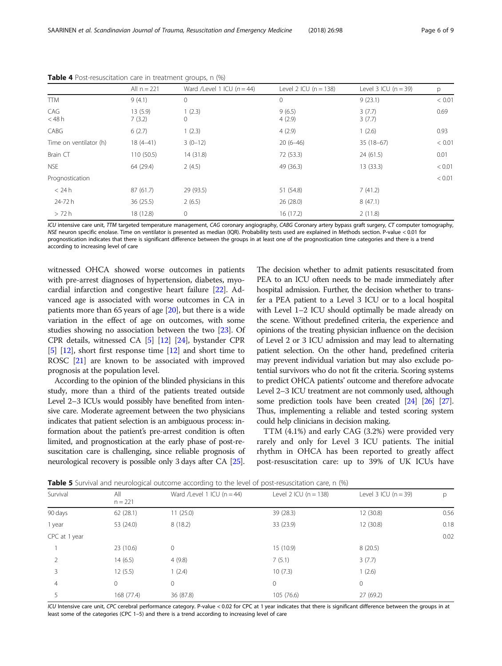|                        | All $n = 221$     | Ward /Level 1 ICU $(n = 44)$ | Level 2 ICU $(n = 138)$ | Level $3$ ICU (n = 39) | p      |
|------------------------|-------------------|------------------------------|-------------------------|------------------------|--------|
| <b>TTM</b>             | 9(4.1)            | 0                            | 0                       | 9(23.1)                | < 0.01 |
| CAG<br>$<$ 48 h        | 13(5.9)<br>7(3.2) | 1(2.3)<br>0                  | 9(6.5)<br>4(2.9)        | 3(7.7)<br>3(7.7)       | 0.69   |
| CABG                   | 6(2.7)            | 1(2.3)                       | 4(2.9)                  | 1(2.6)                 | 0.93   |
| Time on ventilator (h) | $18(4 - 41)$      | $3(0-12)$                    | $20(6-46)$              | $35(18-67)$            | < 0.01 |
| Brain CT               | 110 (50.5)        | 14(31.8)                     | 72 (53.3)               | 24(61.5)               | 0.01   |
| NSE                    | 64 (29.4)         | 2(4.5)                       | 49 (36.3)               | 13 (33.3)              | < 0.01 |
| Prognostication        |                   |                              |                         |                        | < 0.01 |
| < 24 h                 | 87 (61.7)         | 29 (93.5)                    | 51 (54.8)               | 7(41.2)                |        |
| 24-72 h                | 36(25.5)          | 2(6.5)                       | 26(28.0)                | 8(47.1)                |        |
| > 72 h                 | 18 (12.8)         | $\mathbf 0$                  | 16(17.2)                | 2(11.8)                |        |

<span id="page-5-0"></span>Table 4 Post-resuscitation care in treatment groups, n (%)

ICU intensive care unit, TTM targeted temperature management, CAG coronary angiography, CABG Coronary artery bypass graft surgery, CT computer tomography, NSE neuron specific enolase. Time on ventilator is presented as median (IQR). Probability tests used are explained in Methods section. P-value < 0.01 for prognostication indicates that there is significant difference between the groups in at least one of the prognostication time categories and there is a trend according to increasing level of care

witnessed OHCA showed worse outcomes in patients with pre-arrest diagnoses of hypertension, diabetes, myocardial infarction and congestive heart failure [\[22](#page-8-0)]. Advanced age is associated with worse outcomes in CA in patients more than 65 years of age [\[20\]](#page-8-0), but there is a wide variation in the effect of age on outcomes, with some studies showing no association between the two [[23](#page-8-0)]. Of CPR details, witnessed CA [\[5\]](#page-7-0) [\[12\]](#page-7-0) [\[24\]](#page-8-0), bystander CPR [[5\]](#page-7-0) [[12](#page-7-0)], short first response time [[12\]](#page-7-0) and short time to ROSC [[21](#page-8-0)] are known to be associated with improved prognosis at the population level.

According to the opinion of the blinded physicians in this study, more than a third of the patients treated outside Level 2–3 ICUs would possibly have benefited from intensive care. Moderate agreement between the two physicians indicates that patient selection is an ambiguous process: information about the patient's pre-arrest condition is often limited, and prognostication at the early phase of post-resuscitation care is challenging, since reliable prognosis of neurological recovery is possible only 3 days after CA [\[25](#page-8-0)]. The decision whether to admit patients resuscitated from PEA to an ICU often needs to be made immediately after hospital admission. Further, the decision whether to transfer a PEA patient to a Level 3 ICU or to a local hospital with Level 1–2 ICU should optimally be made already on the scene. Without predefined criteria, the experience and opinions of the treating physician influence on the decision of Level 2 or 3 ICU admission and may lead to alternating patient selection. On the other hand, predefined criteria may prevent individual variation but may also exclude potential survivors who do not fit the criteria. Scoring systems to predict OHCA patients' outcome and therefore advocate Level 2–3 ICU treatment are not commonly used, although some prediction tools have been created [[24](#page-8-0)] [\[26\]](#page-8-0) [\[27](#page-8-0)]. Thus, implementing a reliable and tested scoring system could help clinicians in decision making.

TTM (4.1%) and early CAG (3.2%) were provided very rarely and only for Level 3 ICU patients. The initial rhythm in OHCA has been reported to greatly affect post-resuscitation care: up to 39% of UK ICUs have

Table 5 Survival and neurological outcome according to the level of post-resuscitation care, n (%)

|               |                  | $\tilde{\phantom{a}}$          |                             |                        |      |
|---------------|------------------|--------------------------------|-----------------------------|------------------------|------|
| Survival      | All<br>$n = 221$ | Ward /Level 1 ICU ( $n = 44$ ) | Level $2$ ICU ( $n = 138$ ) | Level $3$ ICU (n = 39) | р    |
| 90 days       | 62(28.1)         | 11(25.0)                       | 39 (28.3)                   | 12(30.8)               | 0.56 |
| 1 year        | 53 (24.0)        | 8(18.2)                        | 33 (23.9)                   | 12 (30.8)              | 0.18 |
| CPC at 1 year |                  |                                |                             |                        | 0.02 |
|               | 23(10.6)         | 0                              | 15(10.9)                    | 8(20.5)                |      |
|               | 14(6.5)          | 4(9.8)                         | 7(5.1)                      | 3(7.7)                 |      |
| 3             | 12(5.5)          | 1(2.4)                         | 10(7.3)                     | 1(2.6)                 |      |
| 4             | 0                | 0                              | $\mathbf{0}$                | $\circ$                |      |
|               | 168 (77.4)       | 36 (87.8)                      | 105 (76.6)                  | 27 (69.2)              |      |
|               |                  |                                |                             |                        |      |

ICU Intensive care unit, CPC cerebral performance category. P-value < 0.02 for CPC at 1 year indicates that there is significant difference between the groups in at least some of the categories (CPC 1–5) and there is a trend according to increasing level of care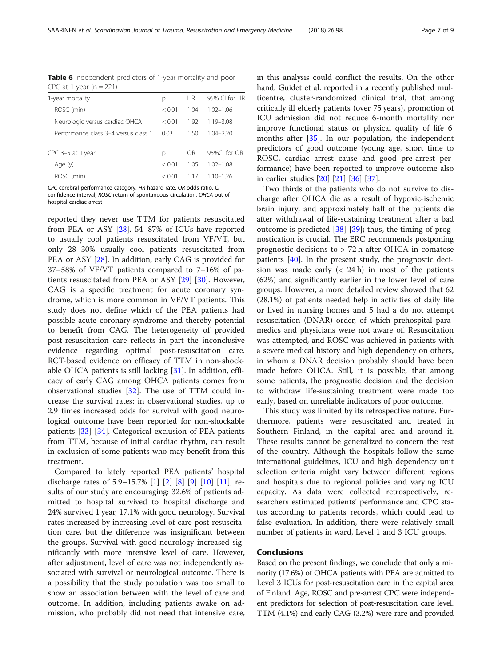<span id="page-6-0"></span>SAARINEN et al. Scandinavian Journal of Trauma, Resuscitation and Emergency Medicine (2018) 26:98 Page 7 of 9

| <b>Table 6</b> Independent predictors of 1-year mortality and poor |  |
|--------------------------------------------------------------------|--|
| CPC at 1-year $(n = 221)$                                          |  |

| 1-year mortality                     | р        | <b>HR</b> | 95% CL for HR |
|--------------------------------------|----------|-----------|---------------|
| ROSC (min)                           | < 0.01   | 104       | $102 - 106$   |
| Neurologic versus cardiac OHCA       | < 0.01   | 192       | $119 - 308$   |
| Performance class 3–4 versus class 1 | 0.03     | 150       | 104-220       |
| CPC 3-5 at 1 year                    | р        | 0R        | 95%CL for OR  |
| Age (y)                              | < 0.01   | 1.05      | $102 - 108$   |
| ROSC (min)                           | $<$ 0.01 | 117       | 1 10–1 26     |

CPC cerebral performance category, HR hazard rate, OR odds ratio, CI

confidence interval, ROSC return of spontaneous circulation, OHCA out-ofhospital cardiac arrest

reported they never use TTM for patients resuscitated from PEA or ASY [[28\]](#page-8-0). 54–87% of ICUs have reported to usually cool patients resuscitated from VF/VT, but only 28–30% usually cool patients resuscitated from PEA or ASY [[28](#page-8-0)]. In addition, early CAG is provided for 37–58% of VF/VT patients compared to 7–16% of patients resuscitated from PEA or ASY [[29\]](#page-8-0) [\[30](#page-8-0)]. However, CAG is a specific treatment for acute coronary syndrome, which is more common in VF/VT patients. This study does not define which of the PEA patients had possible acute coronary syndrome and thereby potential to benefit from CAG. The heterogeneity of provided post-resuscitation care reflects in part the inconclusive evidence regarding optimal post-resuscitation care. RCT-based evidence on efficacy of TTM in non-shockable OHCA patients is still lacking  $[31]$  $[31]$  $[31]$ . In addition, efficacy of early CAG among OHCA patients comes from observational studies [\[32](#page-8-0)]. The use of TTM could increase the survival rates: in observational studies, up to 2.9 times increased odds for survival with good neurological outcome have been reported for non-shockable patients [[33](#page-8-0)] [\[34](#page-8-0)]. Categorical exclusion of PEA patients from TTM, because of initial cardiac rhythm, can result in exclusion of some patients who may benefit from this treatment.

Compared to lately reported PEA patients' hospital discharge rates of 5.9–15.7% [\[1](#page-7-0)] [\[2](#page-7-0)] [\[8\]](#page-7-0) [[9\]](#page-7-0) [[10](#page-7-0)] [\[11](#page-7-0)], results of our study are encouraging: 32.6% of patients admitted to hospital survived to hospital discharge and 24% survived 1 year, 17.1% with good neurology. Survival rates increased by increasing level of care post-resuscitation care, but the difference was insignificant between the groups. Survival with good neurology increased significantly with more intensive level of care. However, after adjustment, level of care was not independently associated with survival or neurological outcome. There is a possibility that the study population was too small to show an association between with the level of care and outcome. In addition, including patients awake on admission, who probably did not need that intensive care, in this analysis could conflict the results. On the other hand, Guidet et al. reported in a recently published multicentre, cluster-randomized clinical trial, that among critically ill elderly patients (over 75 years), promotion of ICU admission did not reduce 6-month mortality nor improve functional status or physical quality of life 6 months after [[35\]](#page-8-0). In our population, the independent predictors of good outcome (young age, short time to ROSC, cardiac arrest cause and good pre-arrest performance) have been reported to improve outcome also in earlier studies [[20](#page-8-0)] [[21\]](#page-8-0) [[36\]](#page-8-0) [[37\]](#page-8-0).

Two thirds of the patients who do not survive to discharge after OHCA die as a result of hypoxic-ischemic brain injury, and approximately half of the patients die after withdrawal of life-sustaining treatment after a bad outcome is predicted [\[38\]](#page-8-0) [\[39](#page-8-0)]; thus, the timing of prognostication is crucial. The ERC recommends postponing prognostic decisions to > 72 h after OHCA in comatose patients [\[40\]](#page-8-0). In the present study, the prognostic decision was made early  $( $24 \text{ h}$ )$  in most of the patients (62%) and significantly earlier in the lower level of care groups. However, a more detailed review showed that 62 (28.1%) of patients needed help in activities of daily life or lived in nursing homes and 5 had a do not attempt resuscitation (DNAR) order, of which prehospital paramedics and physicians were not aware of. Resuscitation was attempted, and ROSC was achieved in patients with a severe medical history and high dependency on others, in whom a DNAR decision probably should have been made before OHCA. Still, it is possible, that among some patients, the prognostic decision and the decision to withdraw life-sustaining treatment were made too early, based on unreliable indicators of poor outcome.

This study was limited by its retrospective nature. Furthermore, patients were resuscitated and treated in Southern Finland, in the capital area and around it. These results cannot be generalized to concern the rest of the country. Although the hospitals follow the same international guidelines, ICU and high dependency unit selection criteria might vary between different regions and hospitals due to regional policies and varying ICU capacity. As data were collected retrospectively, researchers estimated patients' performance and CPC status according to patients records, which could lead to false evaluation. In addition, there were relatively small number of patients in ward, Level 1 and 3 ICU groups.

# Conclusions

Based on the present findings, we conclude that only a minority (17.6%) of OHCA patients with PEA are admitted to Level 3 ICUs for post-resuscitation care in the capital area of Finland. Age, ROSC and pre-arrest CPC were independent predictors for selection of post-resuscitation care level. TTM (4.1%) and early CAG (3.2%) were rare and provided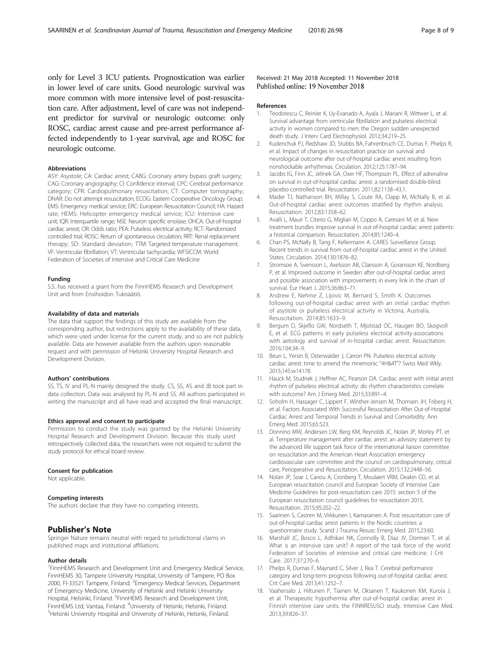<span id="page-7-0"></span>only for Level 3 ICU patients. Prognostication was earlier in lower level of care units. Good neurologic survival was more common with more intensive level of post-resuscitation care. After adjustment, level of care was not independent predictor for survival or neurologic outcome: only ROSC, cardiac arrest cause and pre-arrest performance affected independently to 1-year survival, age and ROSC for neurologic outcome.

# Abbreviations

ASY: Asystole; CA: Cardiac arrest; CABG: Coronary artery bypass graft surgery; CAG: Coronary angiography; CI: Confidence interval; CPC: Cerebral performance category; CPR: Cardiopulmonary resuscitation; CT: Computer tomography; DNAR: Do not attempt resuscitation; ECOG: Eastern Cooperative Oncology Group; EMS: Emergency medical service; ERC: European Resuscitation Council; HA: Hazard rate; HEMS: Helicopter emergency medical service; ICU: Intensive care unit; IQR: Interquartile range; NSE: Neuron specific enolase; OHCA: Out-of-hospital cardiac arrest; OR: Odds ratio; PEA: Pulseless electrical activity; RCT: Randomized controlled trial; ROSC: Return of spontaneous circulation; RRT: Renal replacement therapy; SD: Standard deviation; TTM: Targeted temperature management; VF: Ventricular fibrillation; VT: Ventricular tachycardia; WFSICCM: World Federation of Societies of Intensive and Critical Care Medicine

#### Funding

S.S. has received a grant from the FinnHEMS Research and Development Unit and from Ensihoidon Tukisäätiö.

#### Availability of data and materials

The data that support the findings of this study are available from the corresponding author, but restrictions apply to the availability of these data, which were used under license for the current study, and so are not publicly available. Data are however available from the authors upon reasonable request and with permission of Helsinki University Hospital Research and Development Division.

#### Authors' contributions

SS, TS, IV and PL-N mainly designed the study. CS, SS, AS and JB took part in data collection. Data was analysed by PL-N and SS. All authors participated in writing the manuscript and all have read and accepted the final manuscript.

#### Ethics approval and consent to participate

Permission to conduct the study was granted by the Helsinki University Hospital Research and Development Division. Because this study used retrospectively collected data, the researchers were not required to submit the study protocol for ethical board review.

#### Consent for publication

Not applicable.

#### Competing interests

The authors declare that they have no competing interests.

## Publisher's Note

Springer Nature remains neutral with regard to jurisdictional claims in published maps and institutional affiliations.

#### Author details

<sup>1</sup> FinnHEMS Research and Development Unit and Emergency Medical Service, FinnHEMS 30, Tampere University Hospital, University of Tampere, PO Box 2000, FI-33521 Tampere, Finland. <sup>2</sup>Emergency Medical Services, Department of Emergency Medicine, University of Helsinki and Helsinki University Hospital, Helsinki, Finland. <sup>3</sup>FinnHEMS Research and Development Unit, FinnHEMS Ltd, Vantaa, Finland. <sup>4</sup>University of Helsinki, Helsinki, Finland.<br><sup>5</sup>Helsinki University Hespital and University of Helsinki, Helsinki, Finland. Helsinki University Hospital and University of Helsinki, Helsinki, Finland.

# Received: 21 May 2018 Accepted: 11 November 2018 Published online: 19 November 2018

#### References

- 1. Teodorescu C, Reinier K, Uy-Evanado A, Ayala J, Mariani R, Wittwer L, et al. Survival advantage from ventricular fibrillation and pulseless electrical activity in women compared to men: the Oregon sudden unexpected death study. J Interv Card Electrophysiol. 2012;34:219–25.
- 2. Kudenchuk PJ, Redshaw JD, Stubbs BA, Fahrenbruch CE, Dumas F, Phelps R, et al. Impact of changes in resuscitation practice on survival and neurological outcome after out-of-hospital cardiac arrest resulting from nonshockable arrhythmias. Circulation. 2012;125:1787–94.
- 3. Jacobs IG, Finn JC, Jelinek GA, Oxer HF, Thompson PL. Effect of adrenaline on survival in out-of-hospital cardiac arrest: a randomised double-blind placebo-controlled trial. Resuscitation. 2011;82:1138–43.1.
- 4. Mader TJ, Nathanson BH, Millay S, Coute RA, Clapp M, McNally B, et al. Out-of-hospital cardiac arrest outcomes stratified by rhythm analysis. Resuscitation. 2012;83:1358–62.
- 5. Avalli L, Mauri T, Citerio G, Migliari M, Coppo A, Caresani M, et al. New treatment bundles improve survival in out-of-hospital cardiac arrest patients: a historical comparison. Resuscitation. 2014;85:1240–4.
- 6. Chan PS, McNally B, Tang F, Kellermann A. CARES Surveillance Group. Recent trends in survival from out-of-hospital cardiac arrest in the United States. Circulation. 2014;130:1876–82.
- 7. Stromsoe A, Svensson L, Axelsson AB, Claesson A, Goransson KE, Nordberg P, et al. Improved outcome in Sweden after out-of-hospital cardiac arrest and possible association with improvements in every link in the chain of survival. Eur Heart J. 2015;36:863–71.
- 8. Andrew E, Nehme Z, Lijovic M, Bernard S, Smith K. Outcomes following out-of-hospital cardiac arrest with an initial cardiac rhythm of asystole or pulseless electrical activity in Victoria, Australia. Resuscitation. 2014;85:1633–9.
- 9. Bergum D, Skjeflo GW, Nordseth T, Mjolstad OC, Haugen BO, Skogvoll E, et al. ECG patterns in early pulseless electrical activity-associations with aetiology and survival of in-hospital cardiac arrest. Resuscitation. 2016;104:34–9.
- 10. Beun L, Yersin B, Osterwalder J, Carron PN. Pulseless electrical activity cardiac arrest: time to amend the mnemonic "4H&4T"? Swiss Med Wkly. 2015;145:w14178.
- 11. Hauck M, Studnek J, Heffner AC, Pearson DA. Cardiac arrest with initial arrest rhythm of pulseless electrical activity: do rhythm characteristics correlate with outcome? Am J Emerg Med. 2015;33:891–4.
- 12. Soholm H, Hassager C, Lippert F, Winther-Jensen M, Thomsen JH, Friberg H, et al. Factors Associated With Successful Resuscitation After Out-of-Hospital Cardiac Arrest and Temporal Trends in Survival and Comorbidity. Ann Emerg Med. 2015;65:523.
- 13. Donnino MW, Andersen LW, Berg KM, Reynolds JC, Nolan JP, Morley PT, et al. Temperature management after cardiac arrest: an advisory statement by the advanced life support task force of the international liaison committee on resuscitation and the American Heart Association emergency cardiovascular care committee and the council on cardiopulmonary, critical care, Perioperative and Resuscitation. Circulation. 2015;132:2448–56.
- 14. Nolan JP, Soar J, Cariou A, Cronberg T, Moulaert VRM, Deakin CD, et al. European resuscitation council and European Society of Intensive Care Medicine Guidelines for post-resuscitation care 2015: section 5 of the European resuscitation council guidelines for resuscitation 2015. Resuscitation. 2015;95:202–22.
- 15. Saarinen S, Castren M, Virkkunen I, Kamarainen A. Post resuscitation care of out-of-hospital cardiac arrest patients in the Nordic countries: a questionnaire study. Scand J Trauma Resusc Emerg Med. 2015;23:60.
- 16. Marshall JC, Bosco L, Adhikari NK, Connolly B, Diaz JV, Dorman T, et al. What is an intensive care unit? A report of the task force of the world Federation of Societies of intensive and critical care medicine. J Crit Care. 2017;37:270–6.
- 17. Phelps R, Dumas F, Maynard C, Silver J, Rea T. Cerebral performance category and long-term prognosis following out-of-hospital cardiac arrest. Crit Care Med. 2013;41:1252–7.
- 18. Vaahersalo J, Hiltunen P, Tiainen M, Oksanen T, Kaukonen KM, Kurola J, et al. Therapeutic hypothermia after out-of-hospital cardiac arrest in Finnish intensive care units: the FINNRESUSCI study. Intensive Care Med. 2013;39:826–37.